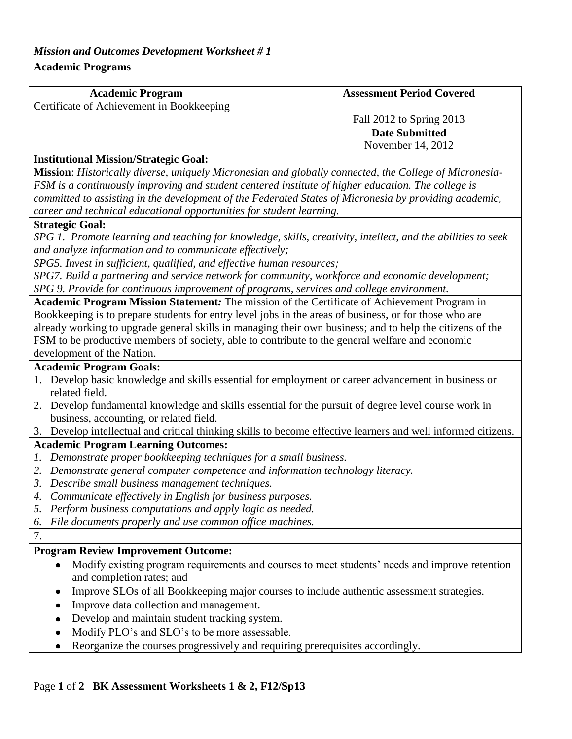# *Mission and Outcomes Development Worksheet # 1*

### **Academic Programs**

| <b>Academic Program</b>                   | <b>Assessment Period Covered</b> |  |
|-------------------------------------------|----------------------------------|--|
| Certificate of Achievement in Bookkeeping |                                  |  |
|                                           | Fall 2012 to Spring 2013         |  |
|                                           | <b>Date Submitted</b>            |  |
|                                           | November 14, 2012                |  |
| .<br>.                                    |                                  |  |

### **Institutional Mission/Strategic Goal:**

**Mission**: *Historically diverse, uniquely Micronesian and globally connected, the College of Micronesia-FSM is a continuously improving and student centered institute of higher education. The college is committed to assisting in the development of the Federated States of Micronesia by providing academic, career and technical educational opportunities for student learning.*

#### **Strategic Goal:**

*SPG 1. Promote learning and teaching for knowledge, skills, creativity, intellect, and the abilities to seek and analyze information and to communicate effectively;*

*SPG5. Invest in sufficient, qualified, and effective human resources;* 

*SPG7. Build a partnering and service network for community, workforce and economic development; SPG 9. Provide for continuous improvement of programs, services and college environment.*

**Academic Program Mission Statement***:* The mission of the Certificate of Achievement Program in Bookkeeping is to prepare students for entry level jobs in the areas of business, or for those who are already working to upgrade general skills in managing their own business; and to help the citizens of the FSM to be productive members of society, able to contribute to the general welfare and economic development of the Nation.

#### **Academic Program Goals:**

- 1. Develop basic knowledge and skills essential for employment or career advancement in business or related field.
- 2. Develop fundamental knowledge and skills essential for the pursuit of degree level course work in business, accounting, or related field.
- 3. Develop intellectual and critical thinking skills to become effective learners and well informed citizens.

### **Academic Program Learning Outcomes:**

- *1. Demonstrate proper bookkeeping techniques for a small business.*
- *2. Demonstrate general computer competence and information technology literacy.*
- *3. Describe small business management techniques.*
- *4. Communicate effectively in English for business purposes.*
- *5. Perform business computations and apply logic as needed.*
- *6. File documents properly and use common office machines.*

### 7.

# **Program Review Improvement Outcome:**

- Modify existing program requirements and courses to meet students' needs and improve retention  $\bullet$ and completion rates; and
- Improve SLOs of all Bookkeeping major courses to include authentic assessment strategies.
- Improve data collection and management.
- Develop and maintain student tracking system.
- Modify PLO's and SLO's to be more assessable.
- Reorganize the courses progressively and requiring prerequisites accordingly.

### Page **1** of **2 BK Assessment Worksheets 1 & 2, F12/Sp13**